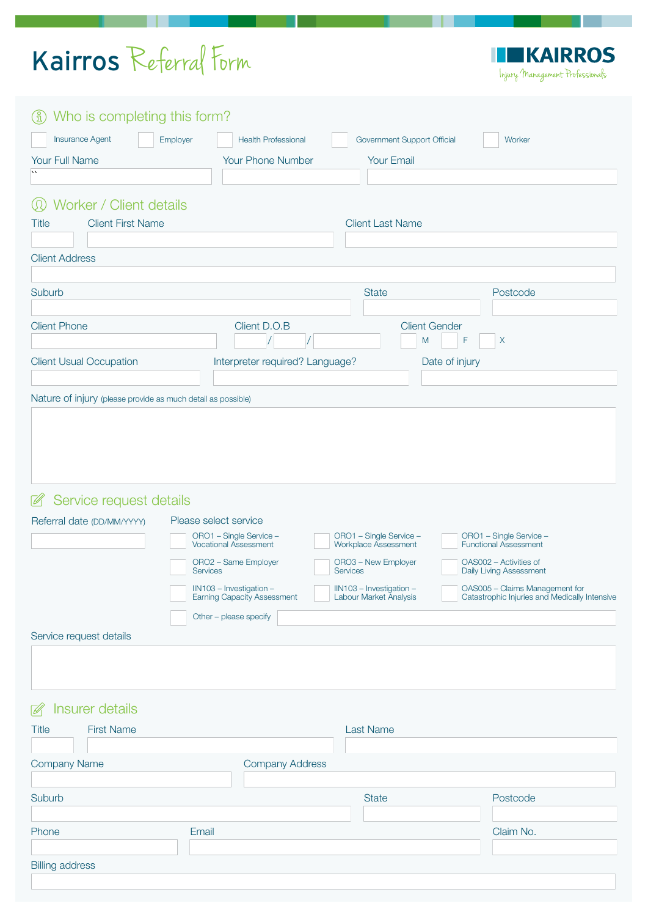## Kairros Referral Form

**EKAIRROS** Ш Injury Management Professionals

| (i) Who is completing this form?                                                   |                                                                                                                                                                                                                         |                                                                                                                                                 |                                                                                                                                                                                                 |
|------------------------------------------------------------------------------------|-------------------------------------------------------------------------------------------------------------------------------------------------------------------------------------------------------------------------|-------------------------------------------------------------------------------------------------------------------------------------------------|-------------------------------------------------------------------------------------------------------------------------------------------------------------------------------------------------|
| Insurance Agent<br>Employer                                                        | <b>Health Professional</b>                                                                                                                                                                                              | Government Support Official                                                                                                                     | Worker                                                                                                                                                                                          |
| Your Full Name                                                                     | <b>Your Phone Number</b>                                                                                                                                                                                                | <b>Your Email</b>                                                                                                                               |                                                                                                                                                                                                 |
|                                                                                    |                                                                                                                                                                                                                         |                                                                                                                                                 |                                                                                                                                                                                                 |
|                                                                                    |                                                                                                                                                                                                                         |                                                                                                                                                 |                                                                                                                                                                                                 |
| $\circledR$<br>Worker / Client details                                             |                                                                                                                                                                                                                         |                                                                                                                                                 |                                                                                                                                                                                                 |
| <b>Client First Name</b><br><b>Title</b>                                           |                                                                                                                                                                                                                         | <b>Client Last Name</b>                                                                                                                         |                                                                                                                                                                                                 |
|                                                                                    |                                                                                                                                                                                                                         |                                                                                                                                                 |                                                                                                                                                                                                 |
| <b>Client Address</b>                                                              |                                                                                                                                                                                                                         |                                                                                                                                                 |                                                                                                                                                                                                 |
|                                                                                    |                                                                                                                                                                                                                         |                                                                                                                                                 |                                                                                                                                                                                                 |
| Suburb                                                                             |                                                                                                                                                                                                                         | <b>State</b>                                                                                                                                    | Postcode                                                                                                                                                                                        |
|                                                                                    |                                                                                                                                                                                                                         |                                                                                                                                                 |                                                                                                                                                                                                 |
| <b>Client Phone</b>                                                                | Client D.O.B                                                                                                                                                                                                            | <b>Client Gender</b>                                                                                                                            |                                                                                                                                                                                                 |
|                                                                                    |                                                                                                                                                                                                                         | M                                                                                                                                               | F<br>X                                                                                                                                                                                          |
|                                                                                    |                                                                                                                                                                                                                         |                                                                                                                                                 |                                                                                                                                                                                                 |
| <b>Client Usual Occupation</b>                                                     | Interpreter required? Language?                                                                                                                                                                                         |                                                                                                                                                 | Date of injury                                                                                                                                                                                  |
|                                                                                    |                                                                                                                                                                                                                         |                                                                                                                                                 |                                                                                                                                                                                                 |
| Nature of injury (please provide as much detail as possible)                       |                                                                                                                                                                                                                         |                                                                                                                                                 |                                                                                                                                                                                                 |
| ■ Service request details<br>Referral date (DD/MM/YYYY)<br>Service request details | Please select service<br>ORO1 - Single Service -<br><b>Vocational Assessment</b><br>ORO2 - Same Employer<br><b>Services</b><br>IIN103 - Investigation -<br><b>Earning Capacity Assessment</b><br>Other - please specify | ORO1 - Single Service -<br>Workplace Assessment<br>ORO3 - New Employer<br><b>Services</b><br>IIN103 - Investigation -<br>Labour Market Analysis | ORO1 - Single Service -<br><b>Functional Assessment</b><br>OAS002 - Activities of<br>Daily Living Assessment<br>OAS005 - Claims Management for<br>Catastrophic Injuries and Medically Intensive |
|                                                                                    |                                                                                                                                                                                                                         |                                                                                                                                                 |                                                                                                                                                                                                 |
| Insurer details<br>$\mathbb{Z}$                                                    |                                                                                                                                                                                                                         |                                                                                                                                                 |                                                                                                                                                                                                 |
| <b>First Name</b><br><b>Title</b>                                                  |                                                                                                                                                                                                                         | <b>Last Name</b>                                                                                                                                |                                                                                                                                                                                                 |
| <b>Company Name</b>                                                                | <b>Company Address</b>                                                                                                                                                                                                  |                                                                                                                                                 |                                                                                                                                                                                                 |
|                                                                                    |                                                                                                                                                                                                                         |                                                                                                                                                 |                                                                                                                                                                                                 |
| <b>Suburb</b>                                                                      |                                                                                                                                                                                                                         | <b>State</b>                                                                                                                                    | Postcode                                                                                                                                                                                        |
|                                                                                    |                                                                                                                                                                                                                         |                                                                                                                                                 |                                                                                                                                                                                                 |
| Phone<br>Email                                                                     |                                                                                                                                                                                                                         |                                                                                                                                                 | Claim No.                                                                                                                                                                                       |
|                                                                                    |                                                                                                                                                                                                                         |                                                                                                                                                 |                                                                                                                                                                                                 |
| <b>Billing address</b>                                                             |                                                                                                                                                                                                                         |                                                                                                                                                 |                                                                                                                                                                                                 |